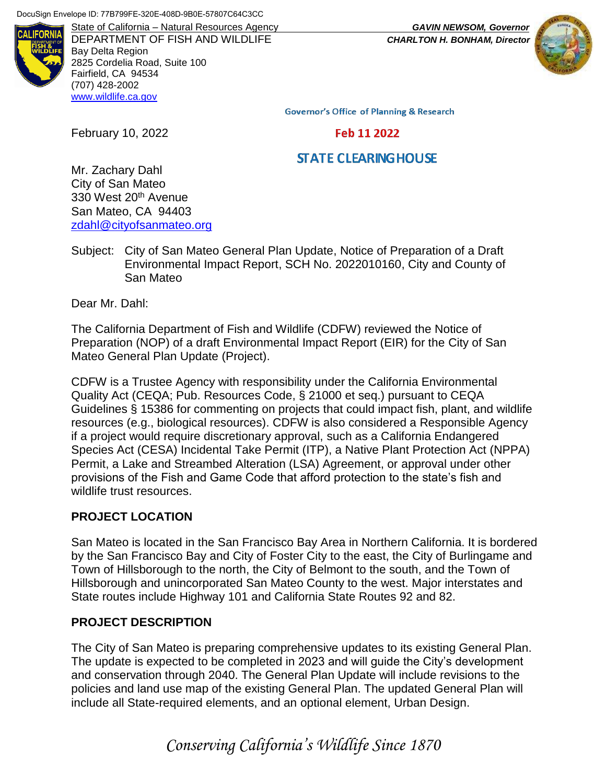

DEPARTMENT OF FISH AND WILDLIFE *CHARLTON H. BONHAM, Director* Bay Delta Region 2825 Cordelia Road, Suite 100 Fairfield, CA 94534 (707) 428-2002 [www.wildlife.ca.gov](https://wildlife.ca.gov/)

State of California – Natural Resources Agency *GAVIN NEWSOM, Governor*



**Governor's Office of Planning & Research** 

Feb 11 2022

# **STATE CLEARING HOUSE**

Mr. Zachary Dahl City of San Mateo 330 West 20<sup>th</sup> Avenue San Mateo, CA 94403 [zdahl@cityofsanmateo.org](mailto:zdahl@cityofsanmateo.org)

February 10, 2022

Subject: City of San Mateo General Plan Update, Notice of Preparation of a Draft Environmental Impact Report, SCH No. 2022010160, City and County of San Mateo

Dear Mr. Dahl:

The California Department of Fish and Wildlife (CDFW) reviewed the Notice of Preparation (NOP) of a draft Environmental Impact Report (EIR) for the City of San Mateo General Plan Update (Project).

CDFW is a Trustee Agency with responsibility under the California Environmental Quality Act (CEQA; Pub. Resources Code, § 21000 et seq.) pursuant to CEQA Guidelines § 15386 for commenting on projects that could impact fish, plant, and wildlife resources (e.g., biological resources). CDFW is also considered a Responsible Agency if a project would require discretionary approval, such as a California Endangered Species Act (CESA) Incidental Take Permit (ITP), a Native Plant Protection Act (NPPA) Permit, a Lake and Streambed Alteration (LSA) Agreement, or approval under other provisions of the Fish and Game Code that afford protection to the state's fish and wildlife trust resources.

# **PROJECT LOCATION**

San Mateo is located in the San Francisco Bay Area in Northern California. It is bordered by the San Francisco Bay and City of Foster City to the east, the City of Burlingame and Town of Hillsborough to the north, the City of Belmont to the south, and the Town of Hillsborough and unincorporated San Mateo County to the west. Major interstates and State routes include Highway 101 and California State Routes 92 and 82.

## **PROJECT DESCRIPTION**

The City of San Mateo is preparing comprehensive updates to its existing General Plan. The update is expected to be completed in 2023 and will guide the City's development and conservation through 2040. The General Plan Update will include revisions to the policies and land use map of the existing General Plan. The updated General Plan will include all State-required elements, and an optional element, Urban Design.

*Conserving California's Wildlife Since 1870*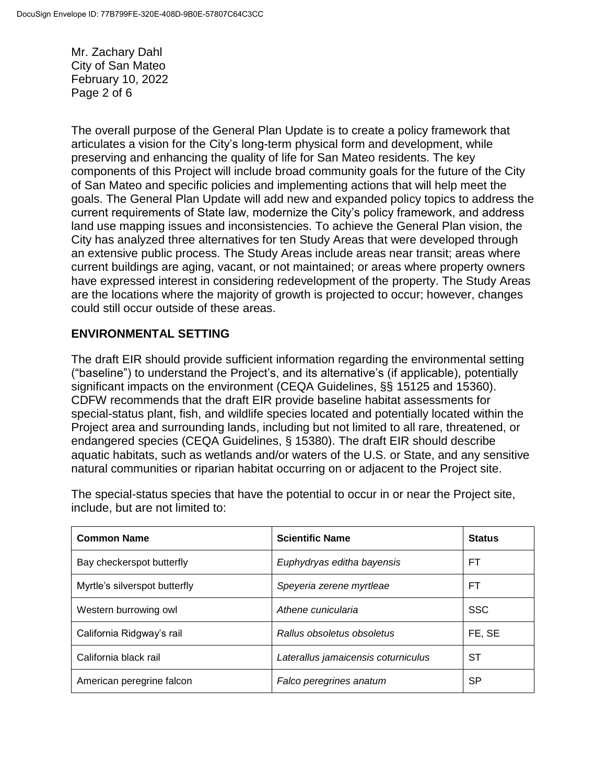Mr. Zachary Dahl City of San Mateo February 10, 2022 Page 2 of 6

The overall purpose of the General Plan Update is to create a policy framework that articulates a vision for the City's long-term physical form and development, while preserving and enhancing the quality of life for San Mateo residents. The key components of this Project will include broad community goals for the future of the City of San Mateo and specific policies and implementing actions that will help meet the goals. The General Plan Update will add new and expanded policy topics to address the current requirements of State law, modernize the City's policy framework, and address land use mapping issues and inconsistencies. To achieve the General Plan vision, the City has analyzed three alternatives for ten Study Areas that were developed through an extensive public process. The Study Areas include areas near transit; areas where current buildings are aging, vacant, or not maintained; or areas where property owners have expressed interest in considering redevelopment of the property. The Study Areas are the locations where the majority of growth is projected to occur; however, changes could still occur outside of these areas.

## **ENVIRONMENTAL SETTING**

The draft EIR should provide sufficient information regarding the environmental setting ("baseline") to understand the Project's, and its alternative's (if applicable), potentially significant impacts on the environment (CEQA Guidelines, §§ 15125 and 15360). CDFW recommends that the draft EIR provide baseline habitat assessments for special-status plant, fish, and wildlife species located and potentially located within the Project area and surrounding lands, including but not limited to all rare, threatened, or endangered species (CEQA Guidelines, § 15380). The draft EIR should describe aquatic habitats, such as wetlands and/or waters of the U.S. or State, and any sensitive natural communities or riparian habitat occurring on or adjacent to the Project site.

| <b>Common Name</b>            | <b>Scientific Name</b>              | <b>Status</b> |
|-------------------------------|-------------------------------------|---------------|
| Bay checkerspot butterfly     | Euphydryas editha bayensis          | FТ            |
| Myrtle's silverspot butterfly | Speyeria zerene myrtleae            | FТ            |
| Western burrowing owl         | Athene cunicularia                  | <b>SSC</b>    |
| California Ridgway's rail     | Rallus obsoletus obsoletus          | FE, SE        |
| California black rail         | Laterallus jamaicensis coturniculus | SТ            |
| American peregrine falcon     | Falco peregrines anatum             | SP            |

The special-status species that have the potential to occur in or near the Project site, include, but are not limited to: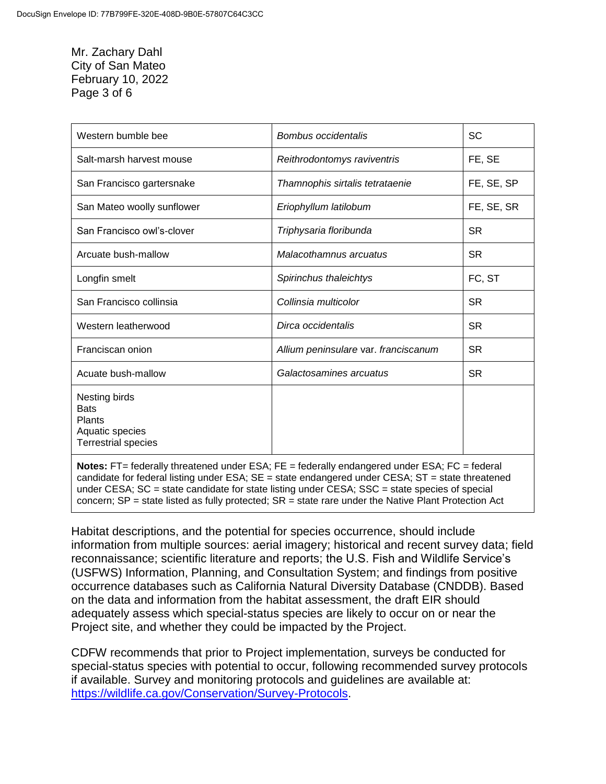## Mr. Zachary Dahl City of San Mateo February 10, 2022 Page 3 of 6

| Western bumble bee                                                                             | Bombus occidentalis                  | SC         |
|------------------------------------------------------------------------------------------------|--------------------------------------|------------|
| Salt-marsh harvest mouse                                                                       | Reithrodontomys raviventris          | FE, SE     |
| San Francisco gartersnake                                                                      | Thamnophis sirtalis tetrataenie      | FE, SE, SP |
| San Mateo woolly sunflower                                                                     | Eriophyllum latilobum                | FE, SE, SR |
| San Francisco owl's-clover                                                                     | Triphysaria floribunda               | <b>SR</b>  |
| Arcuate bush-mallow                                                                            | Malacothamnus arcuatus               | <b>SR</b>  |
| Longfin smelt                                                                                  | Spirinchus thaleichtys               | FC, ST     |
| San Francisco collinsia                                                                        | Collinsia multicolor                 | <b>SR</b>  |
| Western leatherwood                                                                            | Dirca occidentalis                   | <b>SR</b>  |
| Franciscan onion                                                                               | Allium peninsulare var. franciscanum | <b>SR</b>  |
| Acuate bush-mallow                                                                             | Galactosamines arcuatus              | <b>SR</b>  |
| Nesting birds<br><b>Bats</b><br><b>Plants</b><br>Aquatic species<br><b>Terrestrial species</b> |                                      |            |

**Notes:** FT= federally threatened under ESA; FE = federally endangered under ESA; FC = federal candidate for federal listing under ESA;  $SE =$  state endangered under CESA;  $ST =$  state threatened under CESA; SC = state candidate for state listing under CESA; SSC = state species of special concern; SP = state listed as fully protected; SR = state rare under the Native Plant Protection Act

Habitat descriptions, and the potential for species occurrence, should include information from multiple sources: aerial imagery; historical and recent survey data; field reconnaissance; scientific literature and reports; the U.S. Fish and Wildlife Service's (USFWS) Information, Planning, and Consultation System; and findings from positive occurrence databases such as California Natural Diversity Database (CNDDB). Based on the data and information from the habitat assessment, the draft EIR should adequately assess which special-status species are likely to occur on or near the Project site, and whether they could be impacted by the Project.

CDFW recommends that prior to Project implementation, surveys be conducted for special-status species with potential to occur, following recommended survey protocols if available. Survey and monitoring protocols and guidelines are available at: [https://wildlife.ca.gov/Conservation/Survey-Protocols.](https://wildlife.ca.gov/Conservation/Survey-Protocols)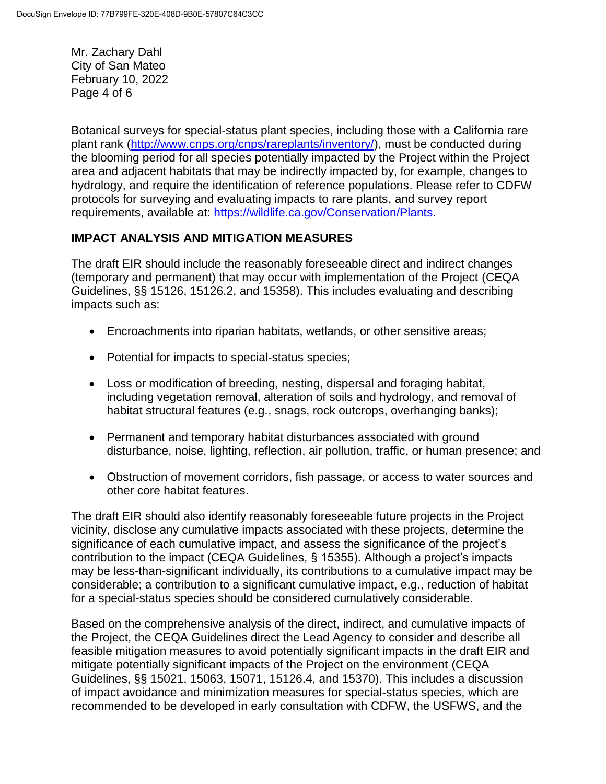Mr. Zachary Dahl City of San Mateo February 10, 2022 Page 4 of 6

Botanical surveys for special-status plant species, including those with a California rare plant rank [\(http://www.cnps.org/cnps/rareplants/inventory/\)](http://www.cnps.org/cnps/rareplants/inventory/), must be conducted during the blooming period for all species potentially impacted by the Project within the Project area and adjacent habitats that may be indirectly impacted by, for example, changes to hydrology, and require the identification of reference populations. Please refer to CDFW protocols for surveying and evaluating impacts to rare plants, and survey report requirements, available at: [https://wildlife.ca.gov/Conservation/Plants.](https://wildlife.ca.gov/Conservation/Plants)

## **IMPACT ANALYSIS AND MITIGATION MEASURES**

The draft EIR should include the reasonably foreseeable direct and indirect changes (temporary and permanent) that may occur with implementation of the Project (CEQA Guidelines, §§ 15126, 15126.2, and 15358). This includes evaluating and describing impacts such as:

- Encroachments into riparian habitats, wetlands, or other sensitive areas;
- Potential for impacts to special-status species;
- Loss or modification of breeding, nesting, dispersal and foraging habitat, including vegetation removal, alteration of soils and hydrology, and removal of habitat structural features (e.g., snags, rock outcrops, overhanging banks);
- Permanent and temporary habitat disturbances associated with ground disturbance, noise, lighting, reflection, air pollution, traffic, or human presence; and
- Obstruction of movement corridors, fish passage, or access to water sources and other core habitat features.

The draft EIR should also identify reasonably foreseeable future projects in the Project vicinity, disclose any cumulative impacts associated with these projects, determine the significance of each cumulative impact, and assess the significance of the project's contribution to the impact (CEQA Guidelines, § 15355). Although a project's impacts may be less-than-significant individually, its contributions to a cumulative impact may be considerable; a contribution to a significant cumulative impact, e.g., reduction of habitat for a special-status species should be considered cumulatively considerable.

Based on the comprehensive analysis of the direct, indirect, and cumulative impacts of the Project, the CEQA Guidelines direct the Lead Agency to consider and describe all feasible mitigation measures to avoid potentially significant impacts in the draft EIR and mitigate potentially significant impacts of the Project on the environment (CEQA Guidelines, §§ 15021, 15063, 15071, 15126.4, and 15370). This includes a discussion of impact avoidance and minimization measures for special-status species, which are recommended to be developed in early consultation with CDFW, the USFWS, and the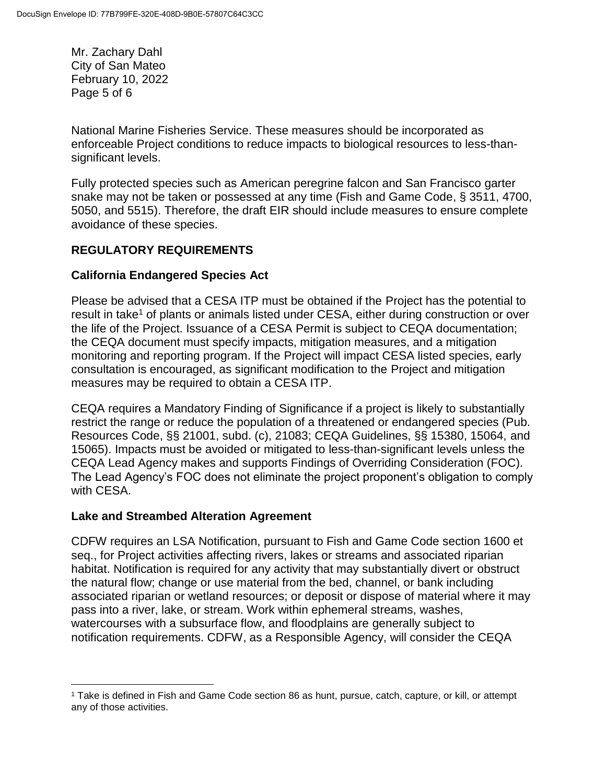Mr. Zachary Dahl City of San Mateo February 10, 2022 Page 5 of 6

National Marine Fisheries Service. These measures should be incorporated as enforceable Project conditions to reduce impacts to biological resources to less-thansignificant levels.

Fully protected species such as American peregrine falcon and San Francisco garter snake may not be taken or possessed at any time (Fish and Game Code, § 3511, 4700, 5050, and 5515). Therefore, the draft EIR should include measures to ensure complete avoidance of these species.

## **REGULATORY REQUIREMENTS**

## **California Endangered Species Act**

Please be advised that a CESA ITP must be obtained if the Project has the potential to result in take<sup>1</sup> of plants or animals listed under CESA, either during construction or over the life of the Project. Issuance of a CESA Permit is subject to CEQA documentation; the CEQA document must specify impacts, mitigation measures, and a mitigation monitoring and reporting program. If the Project will impact CESA listed species, early consultation is encouraged, as significant modification to the Project and mitigation measures may be required to obtain a CESA ITP.

CEQA requires a Mandatory Finding of Significance if a project is likely to substantially restrict the range or reduce the population of a threatened or endangered species (Pub. Resources Code, §§ 21001, subd. (c), 21083; CEQA Guidelines, §§ 15380, 15064, and 15065). Impacts must be avoided or mitigated to less-than-significant levels unless the CEQA Lead Agency makes and supports Findings of Overriding Consideration (FOC). The Lead Agency's FOC does not eliminate the project proponent's obligation to comply with CESA.

## **Lake and Streambed Alteration Agreement**

 $\overline{a}$ 

CDFW requires an LSA Notification, pursuant to Fish and Game Code section 1600 et seq., for Project activities affecting rivers, lakes or streams and associated riparian habitat. Notification is required for any activity that may substantially divert or obstruct the natural flow; change or use material from the bed, channel, or bank including associated riparian or wetland resources; or deposit or dispose of material where it may pass into a river, lake, or stream. Work within ephemeral streams, washes, watercourses with a subsurface flow, and floodplains are generally subject to notification requirements. CDFW, as a Responsible Agency, will consider the CEQA

<sup>1</sup> Take is defined in Fish and Game Code section 86 as hunt, pursue, catch, capture, or kill, or attempt any of those activities.